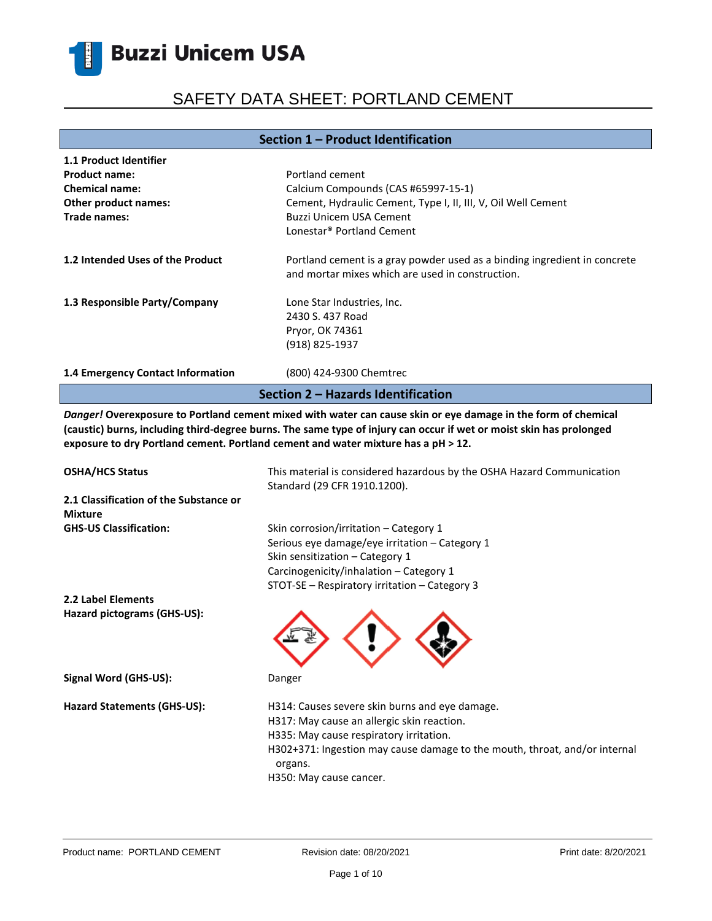## SAFETY DATA SHEET: PORTLAND CEMENT

#### **Section 1 – Product Identification**

| 1.1 Product Identifier             |                                                                                                                               |  |  |
|------------------------------------|-------------------------------------------------------------------------------------------------------------------------------|--|--|
| <b>Product name:</b>               | Portland cement                                                                                                               |  |  |
| <b>Chemical name:</b>              | Calcium Compounds (CAS #65997-15-1)                                                                                           |  |  |
| Other product names:               | Cement, Hydraulic Cement, Type I, II, III, V, Oil Well Cement                                                                 |  |  |
| Trade names:                       | Buzzi Unicem USA Cement                                                                                                       |  |  |
|                                    | Lonestar <sup>®</sup> Portland Cement                                                                                         |  |  |
| 1.2 Intended Uses of the Product   | Portland cement is a gray powder used as a binding ingredient in concrete<br>and mortar mixes which are used in construction. |  |  |
| 1.3 Responsible Party/Company      | Lone Star Industries, Inc.                                                                                                    |  |  |
|                                    | 2430 S. 437 Road                                                                                                              |  |  |
|                                    | Pryor, OK 74361                                                                                                               |  |  |
|                                    | (918) 825-1937                                                                                                                |  |  |
| 1.4 Emergency Contact Information  | (800) 424-9300 Chemtrec                                                                                                       |  |  |
| Section 2 – Hazards Identification |                                                                                                                               |  |  |

*Danger!* **Overexposure to Portland cement mixed with water can cause skin or eye damage in the form of chemical (caustic) burns, including third-degree burns. The same type of injury can occur if wet or moist skin has prolonged exposure to dry Portland cement. Portland cement and water mixture has a pH ˃ 12.**

| <b>OSHA/HCS Status</b><br>2.1 Classification of the Substance or<br><b>Mixture</b> | This material is considered hazardous by the OSHA Hazard Communication<br>Standard (29 CFR 1910.1200).                                                                                                                                                      |
|------------------------------------------------------------------------------------|-------------------------------------------------------------------------------------------------------------------------------------------------------------------------------------------------------------------------------------------------------------|
| <b>GHS-US Classification:</b>                                                      | Skin corrosion/irritation – Category 1<br>Serious eye damage/eye irritation – Category 1<br>Skin sensitization – Category 1<br>Carcinogenicity/inhalation - Category 1<br>STOT-SE - Respiratory irritation - Category 3                                     |
| 2.2 Label Elements                                                                 |                                                                                                                                                                                                                                                             |
| Hazard pictograms (GHS-US):                                                        |                                                                                                                                                                                                                                                             |
| Signal Word (GHS-US):                                                              | Danger                                                                                                                                                                                                                                                      |
| <b>Hazard Statements (GHS-US):</b>                                                 | H314: Causes severe skin burns and eye damage.<br>H317: May cause an allergic skin reaction.<br>H335: May cause respiratory irritation.<br>H302+371: Ingestion may cause damage to the mouth, throat, and/or internal<br>organs.<br>H350: May cause cancer. |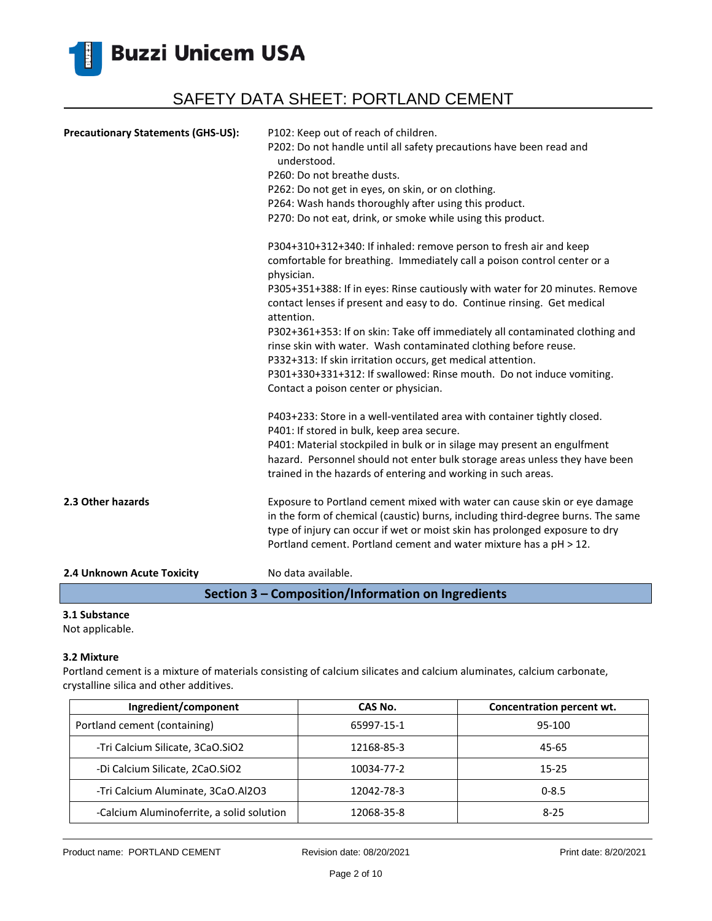

| <b>Precautionary Statements (GHS-US):</b> | P102: Keep out of reach of children.<br>P202: Do not handle until all safety precautions have been read and<br>understood.<br>P260: Do not breathe dusts.<br>P262: Do not get in eyes, on skin, or on clothing.<br>P264: Wash hands thoroughly after using this product.<br>P270: Do not eat, drink, or smoke while using this product.            |
|-------------------------------------------|----------------------------------------------------------------------------------------------------------------------------------------------------------------------------------------------------------------------------------------------------------------------------------------------------------------------------------------------------|
|                                           | P304+310+312+340: If inhaled: remove person to fresh air and keep<br>comfortable for breathing. Immediately call a poison control center or a<br>physician.<br>P305+351+388: If in eyes: Rinse cautiously with water for 20 minutes. Remove<br>contact lenses if present and easy to do. Continue rinsing. Get medical                             |
|                                           | attention.<br>P302+361+353: If on skin: Take off immediately all contaminated clothing and<br>rinse skin with water. Wash contaminated clothing before reuse.<br>P332+313: If skin irritation occurs, get medical attention.<br>P301+330+331+312: If swallowed: Rinse mouth. Do not induce vomiting.<br>Contact a poison center or physician.      |
|                                           | P403+233: Store in a well-ventilated area with container tightly closed.<br>P401: If stored in bulk, keep area secure.<br>P401: Material stockpiled in bulk or in silage may present an engulfment<br>hazard. Personnel should not enter bulk storage areas unless they have been<br>trained in the hazards of entering and working in such areas. |
| 2.3 Other hazards                         | Exposure to Portland cement mixed with water can cause skin or eye damage<br>in the form of chemical (caustic) burns, including third-degree burns. The same<br>type of injury can occur if wet or moist skin has prolonged exposure to dry<br>Portland cement. Portland cement and water mixture has a pH > 12.                                   |
| 2.4 Unknown Acute Toxicity                | No data available.                                                                                                                                                                                                                                                                                                                                 |

#### **Section 3 – Composition/Information on Ingredients**

### **3.1 Substance**

Not applicable.

#### **3.2 Mixture**

Portland cement is a mixture of materials consisting of calcium silicates and calcium aluminates, calcium carbonate, crystalline silica and other additives.

| Ingredient/component                      | CAS No.    | Concentration percent wt. |
|-------------------------------------------|------------|---------------------------|
| Portland cement (containing)              | 65997-15-1 | 95-100                    |
| -Tri Calcium Silicate, 3CaO.SiO2          | 12168-85-3 | 45-65                     |
| -Di Calcium Silicate, 2CaO.SiO2           | 10034-77-2 | $15 - 25$                 |
| -Tri Calcium Aluminate, 3CaO.Al2O3        | 12042-78-3 | $0 - 8.5$                 |
| -Calcium Aluminoferrite, a solid solution | 12068-35-8 | $8 - 25$                  |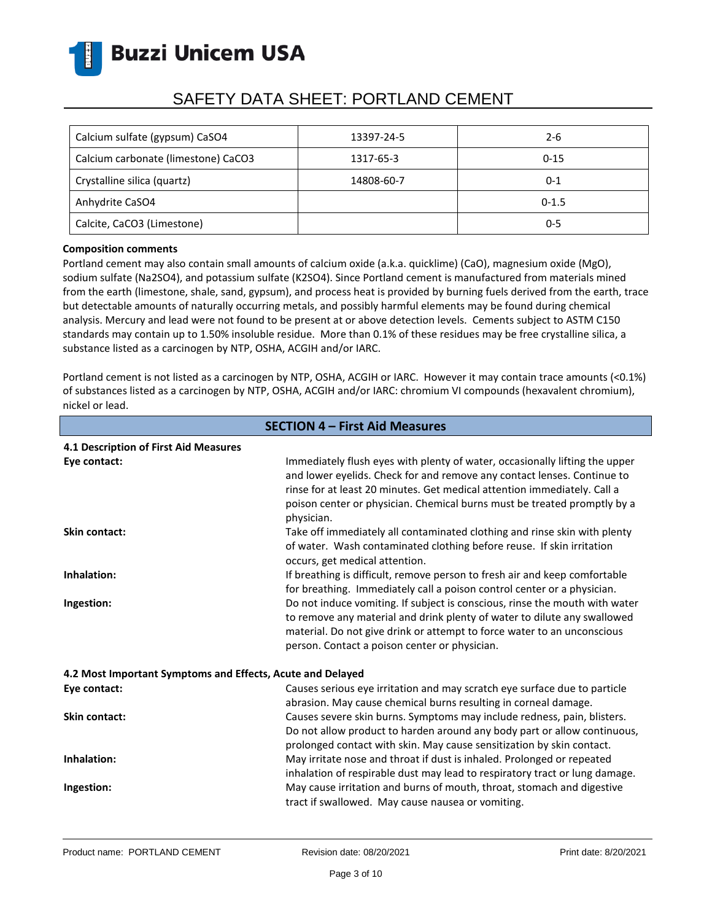

## SAFETY DATA SHEET: PORTLAND CEMENT

| Calcium sulfate (gypsum) CaSO4      | 13397-24-5 | $2 - 6$   |
|-------------------------------------|------------|-----------|
| Calcium carbonate (limestone) CaCO3 | 1317-65-3  | $0 - 15$  |
| Crystalline silica (quartz)         | 14808-60-7 | 0-1       |
| Anhydrite CaSO4                     |            | $0 - 1.5$ |
| Calcite, CaCO3 (Limestone)          |            | $0 - 5$   |

#### **Composition comments**

Portland cement may also contain small amounts of calcium oxide (a.k.a. quicklime) (CaO), magnesium oxide (MgO), sodium sulfate (Na2SO4), and potassium sulfate (K2SO4). Since Portland cement is manufactured from materials mined from the earth (limestone, shale, sand, gypsum), and process heat is provided by burning fuels derived from the earth, trace but detectable amounts of naturally occurring metals, and possibly harmful elements may be found during chemical analysis. Mercury and lead were not found to be present at or above detection levels. Cements subject to ASTM C150 standards may contain up to 1.50% insoluble residue. More than 0.1% of these residues may be free crystalline silica, a substance listed as a carcinogen by NTP, OSHA, ACGIH and/or IARC.

Portland cement is not listed as a carcinogen by NTP, OSHA, ACGIH or IARC. However it may contain trace amounts (<0.1%) of substances listed as a carcinogen by NTP, OSHA, ACGIH and/or IARC: chromium VI compounds (hexavalent chromium), nickel or lead.

| <b>SECTION 4 - First Aid Measures</b>                      |                                                                                                                                                                                                                                                                                                                              |  |
|------------------------------------------------------------|------------------------------------------------------------------------------------------------------------------------------------------------------------------------------------------------------------------------------------------------------------------------------------------------------------------------------|--|
| 4.1 Description of First Aid Measures                      |                                                                                                                                                                                                                                                                                                                              |  |
| Eye contact:                                               | Immediately flush eyes with plenty of water, occasionally lifting the upper<br>and lower eyelids. Check for and remove any contact lenses. Continue to<br>rinse for at least 20 minutes. Get medical attention immediately. Call a<br>poison center or physician. Chemical burns must be treated promptly by a<br>physician. |  |
| <b>Skin contact:</b>                                       | Take off immediately all contaminated clothing and rinse skin with plenty<br>of water. Wash contaminated clothing before reuse. If skin irritation<br>occurs, get medical attention.                                                                                                                                         |  |
| Inhalation:                                                | If breathing is difficult, remove person to fresh air and keep comfortable<br>for breathing. Immediately call a poison control center or a physician.                                                                                                                                                                        |  |
| Ingestion:                                                 | Do not induce vomiting. If subject is conscious, rinse the mouth with water<br>to remove any material and drink plenty of water to dilute any swallowed<br>material. Do not give drink or attempt to force water to an unconscious<br>person. Contact a poison center or physician.                                          |  |
| 4.2 Most Important Symptoms and Effects, Acute and Delayed |                                                                                                                                                                                                                                                                                                                              |  |
| Eye contact:                                               | Causes serious eye irritation and may scratch eye surface due to particle<br>abrasion. May cause chemical burns resulting in corneal damage.                                                                                                                                                                                 |  |
| <b>Skin contact:</b>                                       | Causes severe skin burns. Symptoms may include redness, pain, blisters.<br>Do not allow product to harden around any body part or allow continuous,<br>prolonged contact with skin. May cause sensitization by skin contact.                                                                                                 |  |
| Inhalation:                                                | May irritate nose and throat if dust is inhaled. Prolonged or repeated<br>inhalation of respirable dust may lead to respiratory tract or lung damage.                                                                                                                                                                        |  |
| Ingestion:                                                 | May cause irritation and burns of mouth, throat, stomach and digestive<br>tract if swallowed. May cause nausea or vomiting.                                                                                                                                                                                                  |  |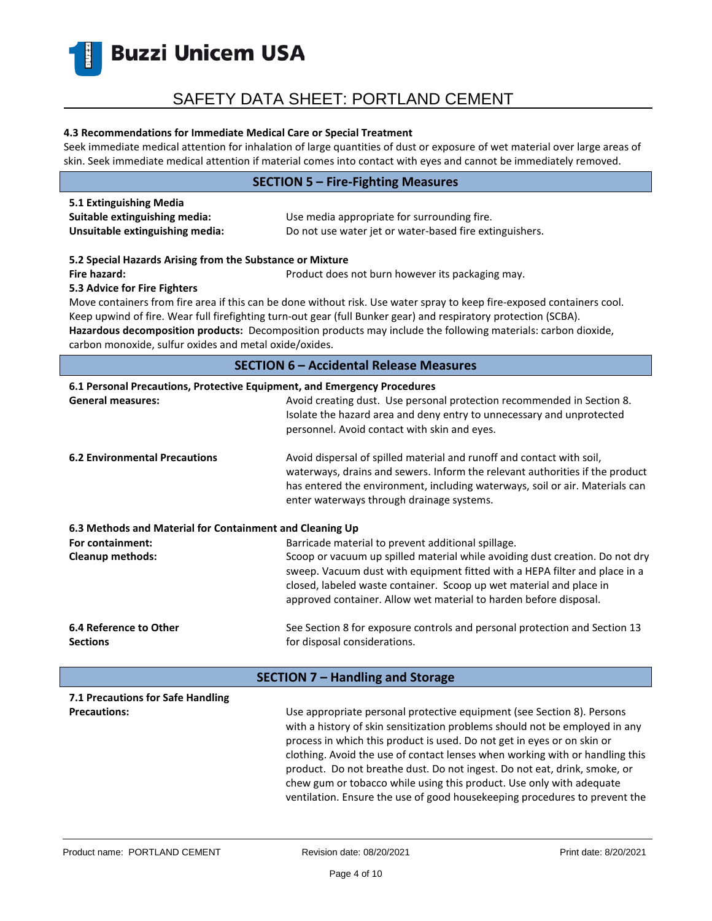

#### **4.3 Recommendations for Immediate Medical Care or Special Treatment**

Seek immediate medical attention for inhalation of large quantities of dust or exposure of wet material over large areas of skin. Seek immediate medical attention if material comes into contact with eyes and cannot be immediately removed.

| <b>SECTION 5 - Fire-Fighting Measures</b>                                                                                                                                                                                                                                                                                                                                                                                                                                                                                                                                             |                                                                                                                                                                                                                                                                                                                                                                                                                                                                                                                                                     |  |  |
|---------------------------------------------------------------------------------------------------------------------------------------------------------------------------------------------------------------------------------------------------------------------------------------------------------------------------------------------------------------------------------------------------------------------------------------------------------------------------------------------------------------------------------------------------------------------------------------|-----------------------------------------------------------------------------------------------------------------------------------------------------------------------------------------------------------------------------------------------------------------------------------------------------------------------------------------------------------------------------------------------------------------------------------------------------------------------------------------------------------------------------------------------------|--|--|
| 5.1 Extinguishing Media<br>Suitable extinguishing media:<br>Unsuitable extinguishing media:                                                                                                                                                                                                                                                                                                                                                                                                                                                                                           | Use media appropriate for surrounding fire.<br>Do not use water jet or water-based fire extinguishers.                                                                                                                                                                                                                                                                                                                                                                                                                                              |  |  |
| 5.2 Special Hazards Arising from the Substance or Mixture<br>Fire hazard:<br>Product does not burn however its packaging may.<br>5.3 Advice for Fire Fighters<br>Move containers from fire area if this can be done without risk. Use water spray to keep fire-exposed containers cool.<br>Keep upwind of fire. Wear full firefighting turn-out gear (full Bunker gear) and respiratory protection (SCBA).<br>Hazardous decomposition products: Decomposition products may include the following materials: carbon dioxide,<br>carbon monoxide, sulfur oxides and metal oxide/oxides. |                                                                                                                                                                                                                                                                                                                                                                                                                                                                                                                                                     |  |  |
|                                                                                                                                                                                                                                                                                                                                                                                                                                                                                                                                                                                       | <b>SECTION 6 - Accidental Release Measures</b>                                                                                                                                                                                                                                                                                                                                                                                                                                                                                                      |  |  |
| 6.1 Personal Precautions, Protective Equipment, and Emergency Procedures<br><b>General measures:</b>                                                                                                                                                                                                                                                                                                                                                                                                                                                                                  | Avoid creating dust. Use personal protection recommended in Section 8.<br>Isolate the hazard area and deny entry to unnecessary and unprotected<br>personnel. Avoid contact with skin and eyes.                                                                                                                                                                                                                                                                                                                                                     |  |  |
| <b>6.2 Environmental Precautions</b>                                                                                                                                                                                                                                                                                                                                                                                                                                                                                                                                                  | Avoid dispersal of spilled material and runoff and contact with soil,<br>waterways, drains and sewers. Inform the relevant authorities if the product<br>has entered the environment, including waterways, soil or air. Materials can<br>enter waterways through drainage systems.                                                                                                                                                                                                                                                                  |  |  |
| 6.3 Methods and Material for Containment and Cleaning Up<br>For containment:<br><b>Cleanup methods:</b>                                                                                                                                                                                                                                                                                                                                                                                                                                                                               | Barricade material to prevent additional spillage.<br>Scoop or vacuum up spilled material while avoiding dust creation. Do not dry<br>sweep. Vacuum dust with equipment fitted with a HEPA filter and place in a<br>closed, labeled waste container. Scoop up wet material and place in<br>approved container. Allow wet material to harden before disposal.                                                                                                                                                                                        |  |  |
| 6.4 Reference to Other<br><b>Sections</b>                                                                                                                                                                                                                                                                                                                                                                                                                                                                                                                                             | See Section 8 for exposure controls and personal protection and Section 13<br>for disposal considerations.                                                                                                                                                                                                                                                                                                                                                                                                                                          |  |  |
| <b>SECTION 7 - Handling and Storage</b>                                                                                                                                                                                                                                                                                                                                                                                                                                                                                                                                               |                                                                                                                                                                                                                                                                                                                                                                                                                                                                                                                                                     |  |  |
| 7.1 Precautions for Safe Handling<br><b>Precautions:</b>                                                                                                                                                                                                                                                                                                                                                                                                                                                                                                                              | Use appropriate personal protective equipment (see Section 8). Persons<br>with a history of skin sensitization problems should not be employed in any<br>process in which this product is used. Do not get in eyes or on skin or<br>clothing. Avoid the use of contact lenses when working with or handling this<br>product. Do not breathe dust. Do not ingest. Do not eat, drink, smoke, or<br>chew gum or tobacco while using this product. Use only with adequate<br>ventilation. Ensure the use of good housekeeping procedures to prevent the |  |  |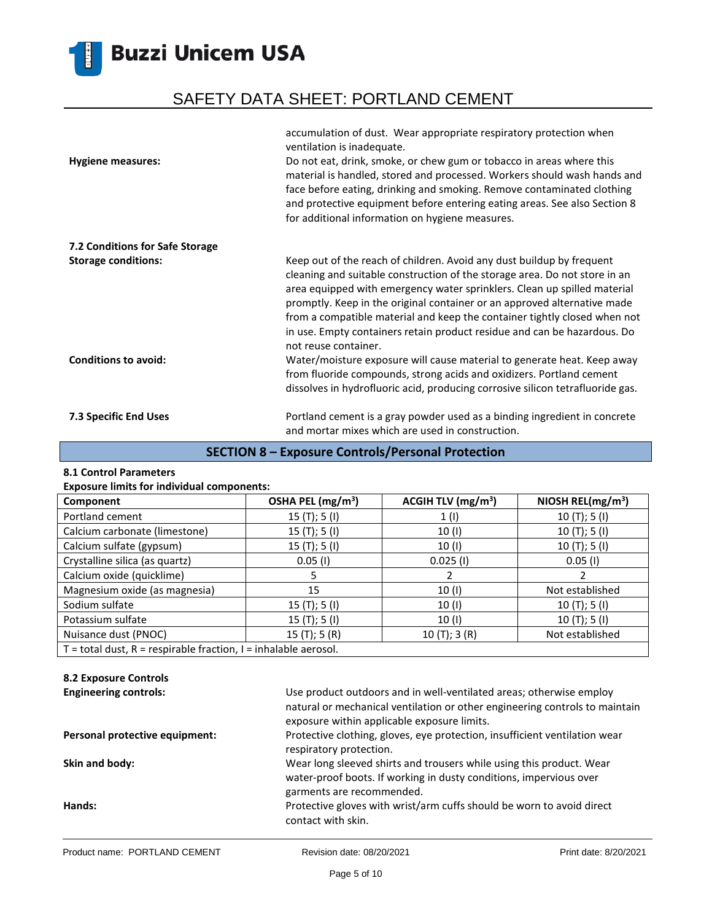# SAFETY DATA SHEET: PORTLAND CEMENT

|                                 | accumulation of dust. Wear appropriate respiratory protection when<br>ventilation is inadequate.                                                                                                                                                                                                                                                                                                                                                                                             |
|---------------------------------|----------------------------------------------------------------------------------------------------------------------------------------------------------------------------------------------------------------------------------------------------------------------------------------------------------------------------------------------------------------------------------------------------------------------------------------------------------------------------------------------|
| <b>Hygiene measures:</b>        | Do not eat, drink, smoke, or chew gum or tobacco in areas where this<br>material is handled, stored and processed. Workers should wash hands and<br>face before eating, drinking and smoking. Remove contaminated clothing<br>and protective equipment before entering eating areas. See also Section 8<br>for additional information on hygiene measures.                                                                                                                                   |
| 7.2 Conditions for Safe Storage |                                                                                                                                                                                                                                                                                                                                                                                                                                                                                              |
| <b>Storage conditions:</b>      | Keep out of the reach of children. Avoid any dust buildup by frequent<br>cleaning and suitable construction of the storage area. Do not store in an<br>area equipped with emergency water sprinklers. Clean up spilled material<br>promptly. Keep in the original container or an approved alternative made<br>from a compatible material and keep the container tightly closed when not<br>in use. Empty containers retain product residue and can be hazardous. Do<br>not reuse container. |
| <b>Conditions to avoid:</b>     | Water/moisture exposure will cause material to generate heat. Keep away<br>from fluoride compounds, strong acids and oxidizers. Portland cement<br>dissolves in hydrofluoric acid, producing corrosive silicon tetrafluoride gas.                                                                                                                                                                                                                                                            |
| 7.3 Specific End Uses           | Portland cement is a gray powder used as a binding ingredient in concrete<br>and mortar mixes which are used in construction.                                                                                                                                                                                                                                                                                                                                                                |

### **SECTION 8 – Exposure Controls/Personal Protection**

#### **8.1 Control Parameters**

#### **Exposure limits for individual components:**

| Component                                                             | OSHA PEL (mg/m <sup>3</sup> ) | ACGIH TLV $(mg/m3)$ | NIOSH REL( $mg/m3$ ) |
|-----------------------------------------------------------------------|-------------------------------|---------------------|----------------------|
| Portland cement                                                       | 15(T); 5(I)                   | 1(1)                | 10(T); 5(I)          |
| Calcium carbonate (limestone)                                         | 15 $(T);$ 5 $(I)$             | 10(1)               | 10(T); 5(I)          |
| Calcium sulfate (gypsum)                                              | 15 $(T);$ 5 $(I)$             | 10(1)               | 10(T); 5(I)          |
| Crystalline silica (as quartz)                                        | $0.05$ (I)                    | $0.025$ (I)         | $0.05$ (I)           |
| Calcium oxide (quicklime)                                             | 5                             |                     |                      |
| Magnesium oxide (as magnesia)                                         | 15                            | 10(1)               | Not established      |
| Sodium sulfate                                                        | 15(T); 5(I)                   | 10(1)               | 10(T); 5(I)          |
| Potassium sulfate                                                     | 15(T); 5(I)                   | 10 (I)              | 10(T); 5(I)          |
| Nuisance dust (PNOC)                                                  | 15(T); 5(R)                   | 10(T); 3(R)         | Not established      |
| $T =$ total dust, $R =$ respirable fraction, $I =$ inhalable aerosol. |                               |                     |                      |

#### **8.2 Exposure Controls**

| <b>Engineering controls:</b>   | Use product outdoors and in well-ventilated areas; otherwise employ                                                                                                     |
|--------------------------------|-------------------------------------------------------------------------------------------------------------------------------------------------------------------------|
|                                | natural or mechanical ventilation or other engineering controls to maintain                                                                                             |
|                                | exposure within applicable exposure limits.                                                                                                                             |
| Personal protective equipment: | Protective clothing, gloves, eye protection, insufficient ventilation wear<br>respiratory protection.                                                                   |
| Skin and body:                 | Wear long sleeved shirts and trousers while using this product. Wear<br>water-proof boots. If working in dusty conditions, impervious over<br>garments are recommended. |
| Hands:                         | Protective gloves with wrist/arm cuffs should be worn to avoid direct<br>contact with skin.                                                                             |
|                                |                                                                                                                                                                         |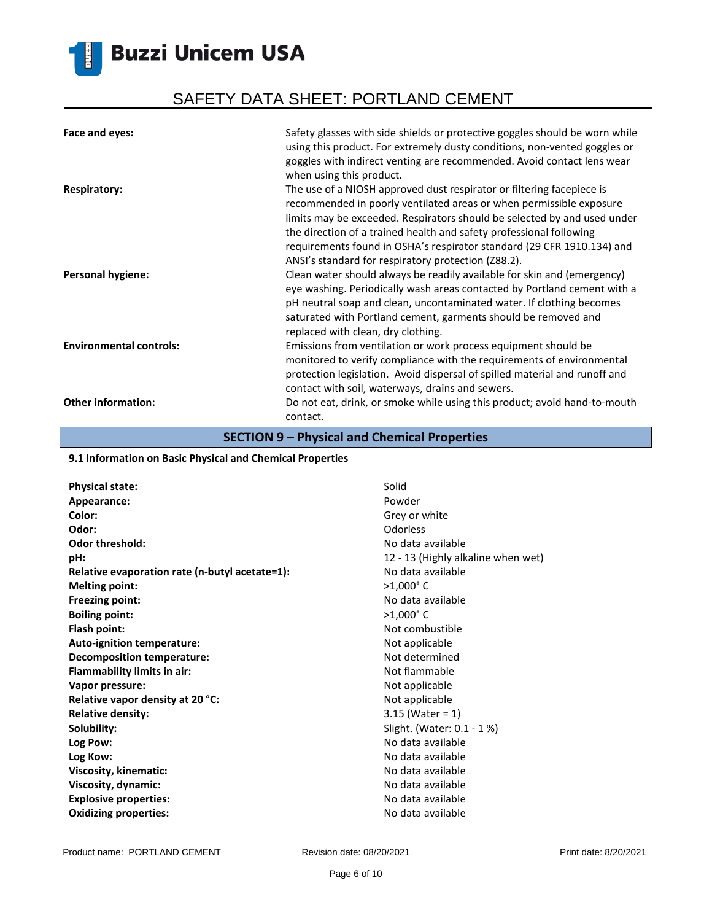# SAFETY DATA SHEET: PORTLAND CEMENT

| Face and eyes:                 | Safety glasses with side shields or protective goggles should be worn while<br>using this product. For extremely dusty conditions, non-vented goggles or<br>goggles with indirect venting are recommended. Avoid contact lens wear<br>when using this product.                                                                                                            |
|--------------------------------|---------------------------------------------------------------------------------------------------------------------------------------------------------------------------------------------------------------------------------------------------------------------------------------------------------------------------------------------------------------------------|
| <b>Respiratory:</b>            | The use of a NIOSH approved dust respirator or filtering facepiece is<br>recommended in poorly ventilated areas or when permissible exposure<br>limits may be exceeded. Respirators should be selected by and used under<br>the direction of a trained health and safety professional following<br>requirements found in OSHA's respirator standard (29 CFR 1910.134) and |
| <b>Personal hygiene:</b>       | ANSI's standard for respiratory protection (Z88.2).<br>Clean water should always be readily available for skin and (emergency)<br>eye washing. Periodically wash areas contacted by Portland cement with a<br>pH neutral soap and clean, uncontaminated water. If clothing becomes<br>saturated with Portland cement, garments should be removed and                      |
| <b>Environmental controls:</b> | replaced with clean, dry clothing.<br>Emissions from ventilation or work process equipment should be<br>monitored to verify compliance with the requirements of environmental<br>protection legislation. Avoid dispersal of spilled material and runoff and<br>contact with soil, waterways, drains and sewers.                                                           |
| <b>Other information:</b>      | Do not eat, drink, or smoke while using this product; avoid hand-to-mouth<br>contact.                                                                                                                                                                                                                                                                                     |

### **SECTION 9 – Physical and Chemical Properties**

#### **9.1 Information on Basic Physical and Chemical Properties**

| <b>Physical state:</b>                         | Solid                              |
|------------------------------------------------|------------------------------------|
| Appearance:                                    | Powder                             |
| Color:                                         | Grey or white                      |
| Odor:                                          | Odorless                           |
| <b>Odor threshold:</b>                         | No data available                  |
| pH:                                            | 12 - 13 (Highly alkaline when wet) |
| Relative evaporation rate (n-butyl acetate=1): | No data available                  |
| <b>Melting point:</b>                          | $>1,000$ °C                        |
| <b>Freezing point:</b>                         | No data available                  |
| <b>Boiling point:</b>                          | $>1,000$ °C                        |
| Flash point:                                   | Not combustible                    |
| <b>Auto-ignition temperature:</b>              | Not applicable                     |
| <b>Decomposition temperature:</b>              | Not determined                     |
| <b>Flammability limits in air:</b>             | Not flammable                      |
| Vapor pressure:                                | Not applicable                     |
| Relative vapor density at 20 °C:               | Not applicable                     |
| <b>Relative density:</b>                       | $3.15$ (Water = 1)                 |
| Solubility:                                    | Slight. (Water: 0.1 - 1 %)         |
| Log Pow:                                       | No data available                  |
| Log Kow:                                       | No data available                  |
| Viscosity, kinematic:                          | No data available                  |
| Viscosity, dynamic:                            | No data available                  |
| <b>Explosive properties:</b>                   | No data available                  |
| <b>Oxidizing properties:</b>                   | No data available                  |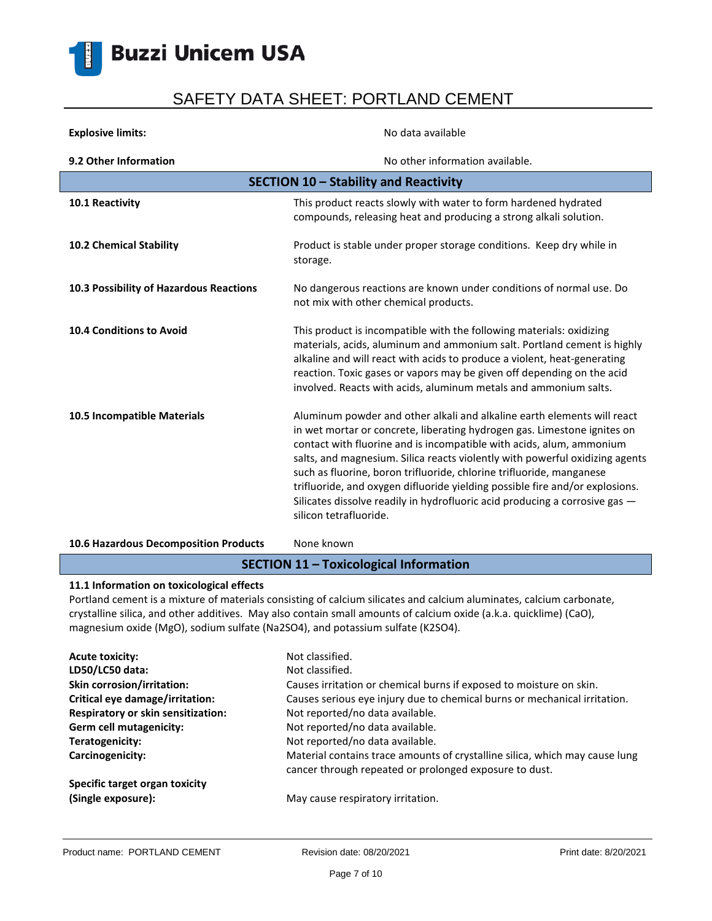

| <b>Explosive limits:</b>                | No data available                                                                                                                                                                                                                                                                                                                                                                                                                                                                                                                                                            |
|-----------------------------------------|------------------------------------------------------------------------------------------------------------------------------------------------------------------------------------------------------------------------------------------------------------------------------------------------------------------------------------------------------------------------------------------------------------------------------------------------------------------------------------------------------------------------------------------------------------------------------|
| 9.2 Other Information                   | No other information available.                                                                                                                                                                                                                                                                                                                                                                                                                                                                                                                                              |
| SECTION 10 - Stability and Reactivity   |                                                                                                                                                                                                                                                                                                                                                                                                                                                                                                                                                                              |
| 10.1 Reactivity                         | This product reacts slowly with water to form hardened hydrated<br>compounds, releasing heat and producing a strong alkali solution.                                                                                                                                                                                                                                                                                                                                                                                                                                         |
| <b>10.2 Chemical Stability</b>          | Product is stable under proper storage conditions. Keep dry while in<br>storage.                                                                                                                                                                                                                                                                                                                                                                                                                                                                                             |
| 10.3 Possibility of Hazardous Reactions | No dangerous reactions are known under conditions of normal use. Do<br>not mix with other chemical products.                                                                                                                                                                                                                                                                                                                                                                                                                                                                 |
| <b>10.4 Conditions to Avoid</b>         | This product is incompatible with the following materials: oxidizing<br>materials, acids, aluminum and ammonium salt. Portland cement is highly<br>alkaline and will react with acids to produce a violent, heat-generating<br>reaction. Toxic gases or vapors may be given off depending on the acid<br>involved. Reacts with acids, aluminum metals and ammonium salts.                                                                                                                                                                                                    |
| 10.5 Incompatible Materials             | Aluminum powder and other alkali and alkaline earth elements will react<br>in wet mortar or concrete, liberating hydrogen gas. Limestone ignites on<br>contact with fluorine and is incompatible with acids, alum, ammonium<br>salts, and magnesium. Silica reacts violently with powerful oxidizing agents<br>such as fluorine, boron trifluoride, chlorine trifluoride, manganese<br>trifluoride, and oxygen difluoride yielding possible fire and/or explosions.<br>Silicates dissolve readily in hydrofluoric acid producing a corrosive gas -<br>silicon tetrafluoride. |

### 10.6 Hazardous Decomposition Products None known

### **SECTION 11 – Toxicological Information**

#### **11.1 Information on toxicological effects**

Portland cement is a mixture of materials consisting of calcium silicates and calcium aluminates, calcium carbonate, crystalline silica, and other additives. May also contain small amounts of calcium oxide (a.k.a. quicklime) (CaO), magnesium oxide (MgO), sodium sulfate (Na2SO4), and potassium sulfate (K2SO4).

| <b>Acute toxicity:</b>             | Not classified.                                                                                                                       |
|------------------------------------|---------------------------------------------------------------------------------------------------------------------------------------|
| LD50/LC50 data:                    | Not classified.                                                                                                                       |
| <b>Skin corrosion/irritation:</b>  | Causes irritation or chemical burns if exposed to moisture on skin.                                                                   |
| Critical eye damage/irritation:    | Causes serious eye injury due to chemical burns or mechanical irritation.                                                             |
| Respiratory or skin sensitization: | Not reported/no data available.                                                                                                       |
| Germ cell mutagenicity:            | Not reported/no data available.                                                                                                       |
| Teratogenicity:                    | Not reported/no data available.                                                                                                       |
| Carcinogenicity:                   | Material contains trace amounts of crystalline silica, which may cause lung<br>cancer through repeated or prolonged exposure to dust. |
| Specific target organ toxicity     |                                                                                                                                       |
| (Single exposure):                 | May cause respiratory irritation.                                                                                                     |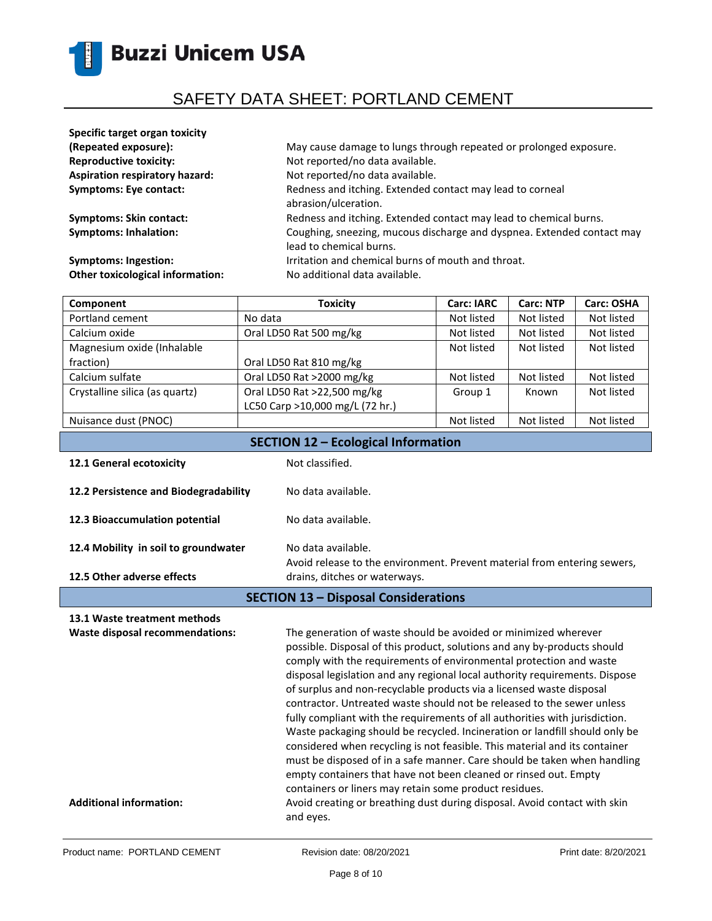

| Specific target organ toxicity          |                                                                                                   |
|-----------------------------------------|---------------------------------------------------------------------------------------------------|
| (Repeated exposure):                    | May cause damage to lungs through repeated or prolonged exposure.                                 |
| <b>Reproductive toxicity:</b>           | Not reported/no data available.                                                                   |
| <b>Aspiration respiratory hazard:</b>   | Not reported/no data available.                                                                   |
| <b>Symptoms: Eye contact:</b>           | Redness and itching. Extended contact may lead to corneal<br>abrasion/ulceration.                 |
| <b>Symptoms: Skin contact:</b>          | Redness and itching. Extended contact may lead to chemical burns.                                 |
| <b>Symptoms: Inhalation:</b>            | Coughing, sneezing, mucous discharge and dyspnea. Extended contact may<br>lead to chemical burns. |
| Symptoms: Ingestion:                    | Irritation and chemical burns of mouth and throat.                                                |
| <b>Other toxicological information:</b> | No additional data available.                                                                     |

| Component                                  | <b>Toxicity</b>                 | <b>Carc: IARC</b> | <b>Carc: NTP</b> | Carc: OSHA |
|--------------------------------------------|---------------------------------|-------------------|------------------|------------|
| Portland cement                            | No data                         | Not listed        | Not listed       | Not listed |
| Calcium oxide                              | Oral LD50 Rat 500 mg/kg         | Not listed        | Not listed       | Not listed |
| Magnesium oxide (Inhalable                 |                                 | Not listed        | Not listed       | Not listed |
| fraction)                                  | Oral LD50 Rat 810 mg/kg         |                   |                  |            |
| Calcium sulfate                            | Oral LD50 Rat >2000 mg/kg       | Not listed        | Not listed       | Not listed |
| Crystalline silica (as quartz)             | Oral LD50 Rat >22,500 mg/kg     | Group 1           | Known            | Not listed |
|                                            | LC50 Carp >10,000 mg/L (72 hr.) |                   |                  |            |
| Nuisance dust (PNOC)                       |                                 | Not listed        | Not listed       | Not listed |
| <b>SECTION 12 - Ecological Information</b> |                                 |                   |                  |            |

|                                             | $-1.1$                                                                                         |
|---------------------------------------------|------------------------------------------------------------------------------------------------|
| 12.1 General ecotoxicity                    | Not classified.                                                                                |
| 12.2 Persistence and Biodegradability       | No data available.                                                                             |
| 12.3 Bioaccumulation potential              | No data available.                                                                             |
| 12.4 Mobility in soil to groundwater        | No data available.<br>Avoid release to the environment. Prevent material from entering sewers, |
| 12.5 Other adverse effects                  | drains, ditches or waterways.                                                                  |
| <b>SECTION 13 - Disposal Considerations</b> |                                                                                                |

### **13.1 Waste treatment methods Waste disposal recommendations:** The generation of waste should be avoided or minimized wherever possible. Disposal of this product, solutions and any by-products should comply with the requirements of environmental protection and waste disposal legislation and any regional local authority requirements. Dispose of surplus and non-recyclable products via a licensed waste disposal contractor. Untreated waste should not be released to the sewer unless fully compliant with the requirements of all authorities with jurisdiction. Waste packaging should be recycled. Incineration or landfill should only be considered when recycling is not feasible. This material and its container must be disposed of in a safe manner. Care should be taken when handling empty containers that have not been cleaned or rinsed out. Empty containers or liners may retain some product residues. **Additional information:** Avoid creating or breathing dust during disposal. Avoid contact with skin and eyes.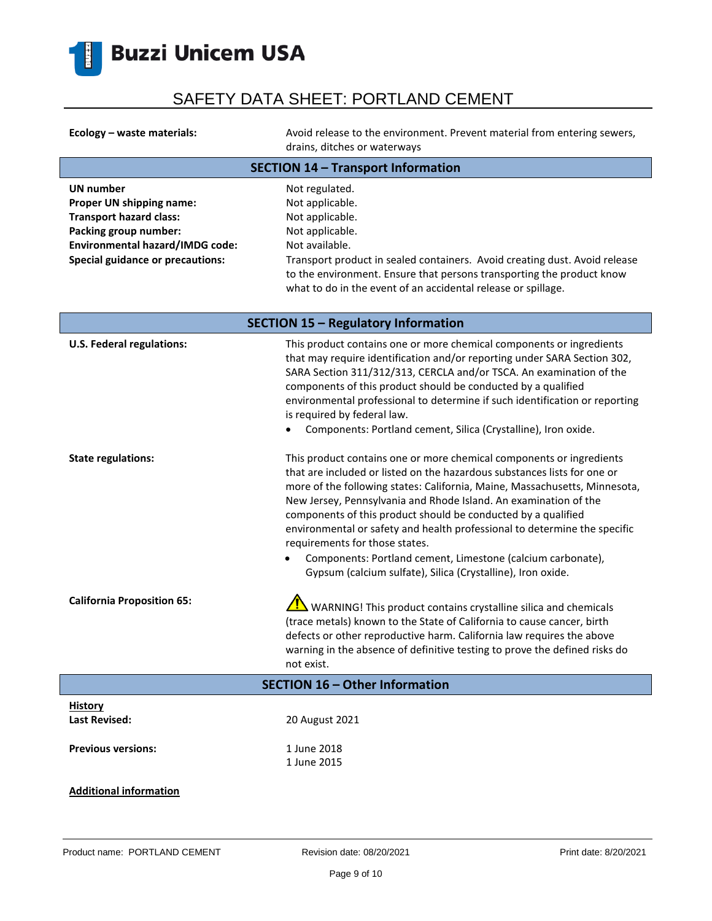

| Ecology – waste materials:                | Avoid release to the environment. Prevent material from entering sewers,<br>drains, ditches or waterways |
|-------------------------------------------|----------------------------------------------------------------------------------------------------------|
| <b>SECTION 14 - Transport Information</b> |                                                                                                          |

| <b>UN number</b>                        | Not regulated.                                                             |
|-----------------------------------------|----------------------------------------------------------------------------|
| Proper UN shipping name:                | Not applicable.                                                            |
| <b>Transport hazard class:</b>          | Not applicable.                                                            |
| Packing group number:                   | Not applicable.                                                            |
| <b>Environmental hazard/IMDG code:</b>  | Not available.                                                             |
| <b>Special guidance or precautions:</b> | Transport product in sealed containers. Avoid creating dust. Avoid release |
|                                         | to the environment. Ensure that persons transporting the product know      |
|                                         | what to do in the event of an accidental release or spillage.              |

| <b>SECTION 15 - Regulatory Information</b> |                                                                                                                                                                                                                                                                                                                                                                                                                                                                                                                                                                                                                  |
|--------------------------------------------|------------------------------------------------------------------------------------------------------------------------------------------------------------------------------------------------------------------------------------------------------------------------------------------------------------------------------------------------------------------------------------------------------------------------------------------------------------------------------------------------------------------------------------------------------------------------------------------------------------------|
| <b>U.S. Federal regulations:</b>           | This product contains one or more chemical components or ingredients<br>that may require identification and/or reporting under SARA Section 302,<br>SARA Section 311/312/313, CERCLA and/or TSCA. An examination of the<br>components of this product should be conducted by a qualified<br>environmental professional to determine if such identification or reporting<br>is required by federal law.<br>Components: Portland cement, Silica (Crystalline), Iron oxide.                                                                                                                                         |
| <b>State regulations:</b>                  | This product contains one or more chemical components or ingredients<br>that are included or listed on the hazardous substances lists for one or<br>more of the following states: California, Maine, Massachusetts, Minnesota,<br>New Jersey, Pennsylvania and Rhode Island. An examination of the<br>components of this product should be conducted by a qualified<br>environmental or safety and health professional to determine the specific<br>requirements for those states.<br>Components: Portland cement, Limestone (calcium carbonate),<br>Gypsum (calcium sulfate), Silica (Crystalline), Iron oxide. |
| <b>California Proposition 65:</b>          | WARNING! This product contains crystalline silica and chemicals<br>(trace metals) known to the State of California to cause cancer, birth<br>defects or other reproductive harm. California law requires the above<br>warning in the absence of definitive testing to prove the defined risks do<br>not exist.                                                                                                                                                                                                                                                                                                   |
|                                            | SECTION 16 - Other Information                                                                                                                                                                                                                                                                                                                                                                                                                                                                                                                                                                                   |
| <b>History</b><br><b>Last Revised:</b>     | 20 August 2021                                                                                                                                                                                                                                                                                                                                                                                                                                                                                                                                                                                                   |
| <b>Previous versions:</b>                  | 1 June 2018<br>1 June 2015                                                                                                                                                                                                                                                                                                                                                                                                                                                                                                                                                                                       |
| <b>Additional information</b>              |                                                                                                                                                                                                                                                                                                                                                                                                                                                                                                                                                                                                                  |